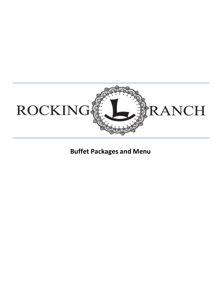

**Buffet Packages and Menu**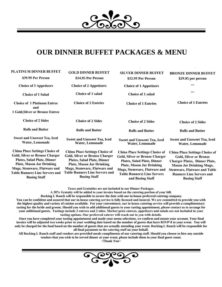

# **OUR DINNER BUFFET PACKAGES & MENU**

| PLATINUM DINNER BUFFET<br>\$39.95 Per Person                                                                                                                                                                                                             | <b>GOLD DINNER BUFFET</b><br>\$34.95 Per Person                                                                                                                                                                                                          | <b>SILVER DINNER BUFFET</b><br>\$32.95 Per Person                                                                                                                                                                                                  | <b>BRONZE DINNER BUFFET</b><br>\$29.95 per person                                                                                                                                                                                                  |
|----------------------------------------------------------------------------------------------------------------------------------------------------------------------------------------------------------------------------------------------------------|----------------------------------------------------------------------------------------------------------------------------------------------------------------------------------------------------------------------------------------------------------|----------------------------------------------------------------------------------------------------------------------------------------------------------------------------------------------------------------------------------------------------|----------------------------------------------------------------------------------------------------------------------------------------------------------------------------------------------------------------------------------------------------|
| <b>Choice of 3 Appetizers</b>                                                                                                                                                                                                                            | <b>Choice of 2 Appetizers</b>                                                                                                                                                                                                                            | <b>Choice of 1 Appetizers</b>                                                                                                                                                                                                                      |                                                                                                                                                                                                                                                    |
| <b>Choice of 1 Salad</b>                                                                                                                                                                                                                                 | <b>Choice of 1 salad</b>                                                                                                                                                                                                                                 | Choice of 1 salad                                                                                                                                                                                                                                  |                                                                                                                                                                                                                                                    |
| <b>Choice of 1 Platinum Entree</b><br>and                                                                                                                                                                                                                | <b>Choice of 2 Entrées</b>                                                                                                                                                                                                                               | <b>Choice of 1 Entrées</b>                                                                                                                                                                                                                         | <b>Choice of 1 Entrées</b>                                                                                                                                                                                                                         |
| 1 Gold, Silver or Bronze Entree                                                                                                                                                                                                                          |                                                                                                                                                                                                                                                          |                                                                                                                                                                                                                                                    |                                                                                                                                                                                                                                                    |
| <b>Choice of 2 Sides</b>                                                                                                                                                                                                                                 | <b>Choice of 2 Sides</b>                                                                                                                                                                                                                                 | <b>Choice of 2 Sides</b>                                                                                                                                                                                                                           | <b>Choice of 2 Sides</b>                                                                                                                                                                                                                           |
| <b>Rolls and Butter</b>                                                                                                                                                                                                                                  | <b>Rolls and Butter</b>                                                                                                                                                                                                                                  | <b>Rolls and Butter</b>                                                                                                                                                                                                                            | <b>Rolls and Butter</b>                                                                                                                                                                                                                            |
| <b>Sweet and Unsweet Tea, Iced</b><br>Water, Lemonade                                                                                                                                                                                                    | <b>Sweet and Unsweet Tea, Iced</b><br>Water, Lemonade                                                                                                                                                                                                    | <b>Sweet and Unsweet Tea, Iced</b><br>Water, Lemonade                                                                                                                                                                                              | <b>Sweet and Unsweet Tea, Iced</b><br>Water, Lemonade                                                                                                                                                                                              |
| <b>China Place Settings Choice of</b><br><b>Gold, Silver or Bronze Charger</b><br><b>Plates, Salad Plate, Dinner</b><br><b>Plate, Mason Jar Drinking</b><br>Mugs, Stemware, Flatware and<br><b>Table Runners Line Servers and</b><br><b>Busing Staff</b> | <b>China Place Settings Choice of</b><br><b>Gold, Silver or Bronze Charger</b><br><b>Plates, Salad Plate, Dinner</b><br><b>Plate, Mason Jar Drinking</b><br>Mugs, Stemware, Flatware and<br><b>Table Runners Line Servers and</b><br><b>Busing Staff</b> | <b>China Place Settings Choice of</b><br><b>Gold, Silver or Bronze Charger</b><br><b>Plates, Salad Plate, Dinner</b><br><b>Plate, Mason Jar Drinking</b><br>Mugs, Stemware, Flatware and<br><b>Table Runners) Line Servers</b><br>and Busing Staff | <b>China Place Settings Choice of</b><br><b>Gold, Silver or Bronze</b><br><b>Charger Plates, Dinner Plate,</b><br><b>Mason Jar Drinking Mugs,</b><br><b>Stemware, Flatware and Table</b><br><b>Runners Line Servers and</b><br><b>Busing Staff</b> |

**Taxes and Gratuities are not included in our Dinner Packages.**

**A 20% Gratuity will be added to your invoice based on the catering portion of your bill.**

**Rocking L Ranch will be responsible to secure the date with our in-house preferred catering company.** 

**You can be confident and assured that our in-house catering service is fully licensed and insured. We are committed to provide you with the highest quality and variety of cuisine available. For your convenience, our in house catering service will provide a complimentary tasting for the bride and groom. Should you wish to add additional guests to your tasting appointment, please contact us to arrange for**  your additional guests. Tastings include 2 entrees and 2 sides. Market price entrees, appetizers and salads are not included in your **tasting options. Our preferred caterer will reach out to you with details.**

**Once you have completed your tasting appointment and made your menu selections, we confirm and notate your account. Your final invoice will be adjusted two weeks prior to your wedding date based on the number of guests that have RSVP'd to your event. You will only be charged for the food based on the number of guests that are actually attending your event. Rocking L Ranch will be responsible for all final payments to the catering staff on your behalf.** 

**All Rocking L Ranch staff and vendors are provided meals compliments of our catering staff. Should you choose to hire any outside vendors that you wish to be served dinner at your event, please include them in your final guest count.** 

**~Thank You~** 

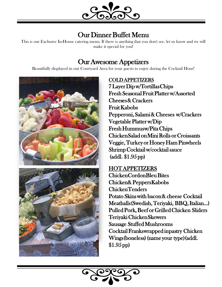

# Our Dinner Buffet Menu

This is our Exclusive In-House catering menu. If there is anything that you don't see. let us know and we will make it special for you!

## Our Awesome Appetizers

Beautifully displayed in our Courtyard Area for your guests to enjoy during the Cocktail Hour!



### COLD APPETIZERS

7 Layer Dip w/Tortillas Chips Fresh Seasonal Fruit Platter w/Assorted Cheeses & Crackers Fruit Kabobs Pepperoni, Salami & Cheeses w/Crackers Vegetable Platter w/Dip Fresh Hummusw/Pita Chips Chicken Salad on Mini Rolls or Croissants Veggie, Turkey or Honey Ham Pinwheels Shrimp Cocktail w/cocktail sauce (addl. \$1.95 pp)

## **HOT APPETIZERS** Chicken Cordon Bleu Bites Chicken & Peppers Kabobs Chicken Tenders Potato Skins with bacon & cheese Cocktail Meatballs (Swedish, Teriyaki, BBQ, Italian…) Pulled Pork, Beef or Grilled Chicken Sliders

Teriyaki Chicken Skewers Sausage Stuffed Mushrooms Cocktail Franks wrapped in pastry Chicken Wings (boneless) (name your type)(addl. \$1.95 pp)

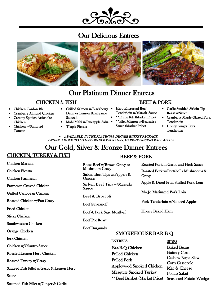# Our Delicious Entrees



# Our Platinum Dinner Entrees

#### CHICKEN & FISH

- Chicken Cordon Bleu
- Cranberry Almond Chicken
- Creamy Spinich Artichoke Chicken
- Chicken w/Sundried Tomato
- Grilled Salmon w/Blackberry Dijon or Lemon Basil Sauce Sauteed
- Mahi Mahi w/Pineapple Salsa
- Tilapia Piccata
- Herb Encrusted Beef Tenderloin w/Marsala Sauce
- \*\*Prime Rib (Market Price)

BEEF & PORK

- \*\*Filet Mignon w/Bearnaise Sauce (Market Price)
- 
- Honey Ginger Pork **Tenderloin**
- Roast w/Sauce • Cranberry Maple Glazed Pork Tenderloin

• Garlic Studded Sirloin Tip

• AVAILABLE IN THE PLATINUM DINNER BUFFET PACKAGE (WHEN ADDED TO OTHER DINNER PACKAGES, MARKET PRICING WILL APPLY)

#### Our Gold, Silver & Bronze Dinner Entrees CHICKEN, TURKEY & FISH BEEF & PORK

| Chicken Marsala                           |                                                      |                                 | Roasted Pork in Garlic and Herb Sauce         |  |
|-------------------------------------------|------------------------------------------------------|---------------------------------|-----------------------------------------------|--|
|                                           | Roast Beef w/Brown Gravy or<br><b>Mushroom Gravy</b> |                                 |                                               |  |
| <b>Chicken Piccata</b>                    | Sirloin Beef Tips w/Peppers &                        |                                 | Roasted Pork w/Portabella Mushrooms &         |  |
| <b>Chicken Parmesan</b>                   | <b>Onions</b>                                        | Gravy                           |                                               |  |
| <b>Parmesan Crusted Chicken</b>           | Sirloin Beef Tips w/Marsala<br>Sauce                 |                                 | Apple & Dried Fruit Stuffed Pork Loin         |  |
| Grilled Caribbean Chicken                 | Beef & Broccoli                                      |                                 | Mo Jo Marinated Pork Loin                     |  |
| Roasted Chicken w/Pan Gravy               | <b>Beef Stroganoff</b>                               |                                 | <b>Pork Tenderloin w/Sauteed Apples</b>       |  |
| <b>Fried Chicken</b>                      |                                                      | <b>Honey Baked Ham</b>          |                                               |  |
| <b>Sticky Chicken</b>                     | Beef & Pork Sage Meatloaf                            |                                 |                                               |  |
| Southwestern Chicken                      | <b>Beef Pot Roast</b>                                |                                 |                                               |  |
| <b>Orange Chicken</b>                     | <b>Beef Burgundy</b>                                 | <b>SMOKEHOUSE BAR-B-Q</b>       |                                               |  |
| <b>Jerk Chicken</b>                       | <b>ENTREES</b>                                       |                                 | <b>SIDES</b>                                  |  |
| Chicken w/Cilantro Sauce                  | <b>Bar-B-Q Chicken</b>                               |                                 | <b>Baked Beans</b>                            |  |
| <b>Roasted Lemon Herb Chicken</b>         | <b>Pulled Chicken</b>                                |                                 | <b>Buttery Corn</b>                           |  |
| <b>Roasted Turkey w/Gravy</b>             | <b>Pulled Pork</b>                                   |                                 | Cashew Napa Slaw<br><b>Corn Casserole</b>     |  |
| Sauteed Fish Fillet w/Garlic & Lemon Herb |                                                      | <b>Applewood Smoked Chicken</b> | Mac & Cheese                                  |  |
| <b>Sauce</b>                              | <b>Mesquite Smoked Turkey</b>                        | **Beef Brisket (Market Price)   | Potato Salad<br><b>Seasoned Potato Wedges</b> |  |
| Steamed Fish Fillet w/Ginger & Garlic     |                                                      |                                 |                                               |  |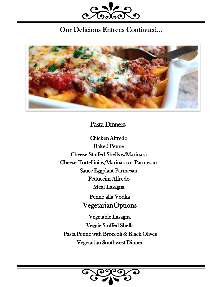

# Our Delicious Entrees Continued…



# Pasta Dinners

Chicken Alfredo Baked Penne Cheese Stuffed Shells w/Marinara Cheese Tortellini w/Marinara or Parmesan Sauce Eggplant Parmesan Fettuccini Alfredo Meat Lasagna Penne alla Vodka

Vegetarian Options

Vegetable Lasagna Veggie Stuffed Shells Pasta Penne with Broccoli & Black Olives Vegetarian Southwest Dinner

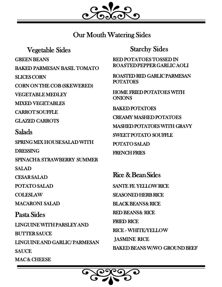

## Our Mouth Watering Sides

Vegetable Sides GREEN BEANS BAKED PARMESAN BASIL TOMATO SLICES CORN CORN ON THE COB (SKEWERED) VEGETABLE MEDLEY MIXED VEGETABLES CARROT SOUFFLE GLAZED CARROTS Salads SPRING MIX HOUSE SALAD WITH DRESSING SPINACH & STRAWBERRY SUMMER **SALAD** CESAR SALAD POTATO SALAD COLESLAW MACARONI SALAD Pasta Sides LINGUINE WITH PARSLEY AND BUTTER SAUCE LINGUINE AND GARLIC/ PARMESAN **SAUCE** MAC& CHEESE

Starchy Sides

RED POTATOES TOSSED IN ROASTED PEPPER GARLIC AOLI

ROASTED RED GARLIC PARMESAN POTATOES

HOME FRIED POTATOES WITH ONIONS

BAKED POTATOES CREAMY MASHED POTATOES MASHED POTATOES WITH GRAVY SWEET POTATO SOUFFLE POTATO SALAD

FRENCH FRIES

Rice & Bean Sides SANTE FE YELLOW RICE SEASONED HERB RICE **BLACK BEANS & RICE RED BEANS& RICE** FRIED RICE RICE - WHITE/YELLOW **JASMINE RICE** 

BAKED BEANS W/WO GROUND BEEF